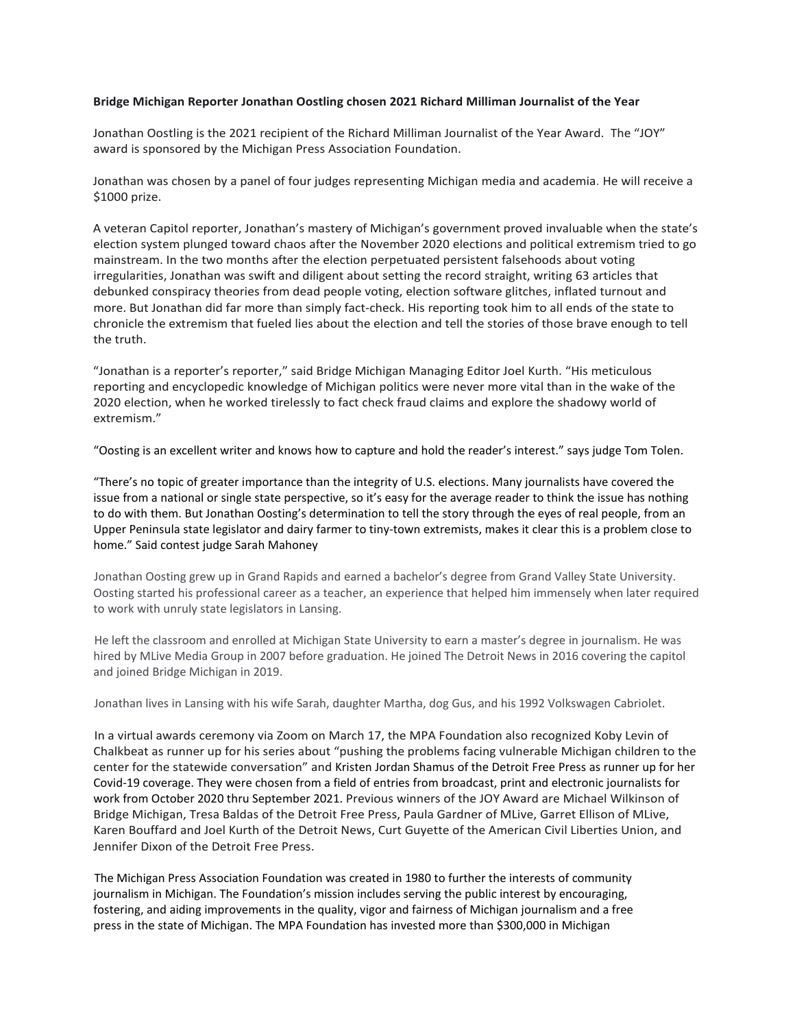## **Bridge Michigan Reporter Jonathan Oostling chosen 2021 Richard Milliman Journalist of the Year**

Jonathan Oostling is the 2021 recipient of the Richard Milliman Journalist of the Year Award. The "JOY" award is sponsored by the Michigan Press Association Foundation.

Jonathan was chosen by a panel of four judges representing Michigan media and academia. He will receive a \$1000 prize.

A veteran Capitol reporter, Jonathan's mastery of Michigan's government proved invaluable when the state's election system plunged toward chaos after the November 2020 elections and political extremism tried to go mainstream. In the two months after the election perpetuated persistent falsehoods about voting irregularities, Jonathan was swift and diligent about setting the record straight, writing 63 articles that debunked conspiracy theories from dead people voting, election software glitches, inflated turnout and more. But Jonathan did far more than simply fact-check. His reporting took him to all ends of the state to chronicle the extremism that fueled lies about the election and tell the stories of those brave enough to tell the truth.

"Jonathan is a reporter's reporter," said Bridge Michigan Managing Editor Joel Kurth. "His meticulous reporting and encyclopedic knowledge of Michigan politics were never more vital than in the wake of the 2020 election, when he worked tirelessly to fact check fraud claims and explore the shadowy world of extremism."

"Oosting is an excellent writer and knows how to capture and hold the reader's interest." says judge Tom Tolen.

"There's no topic of greater importance than the integrity of U.S. elections. Many journalists have covered the issue from a national or single state perspective, so it's easy for the average reader to think the issue has nothing to do with them. But Jonathan Oosting's determination to tell the story through the eyes of real people, from an Upper Peninsula state legislator and dairy farmer to tiny-town extremists, makes it clear this is a problem close to home." Said contest judge Sarah Mahoney

Jonathan Oosting grew up in Grand Rapids and earned a bachelor's degree from Grand Valley State University. Oosting started his professional career as a teacher, an experience that helped him immensely when later required to work with unruly state legislators in Lansing.

He left the classroom and enrolled at Michigan State University to earn a master's degree in journalism. He was hired by MLive Media Group in 2007 before graduation. He joined The Detroit News in 2016 covering the capitol and joined Bridge Michigan in 2019.

Jonathan lives in Lansing with his wife Sarah, daughter Martha, dog Gus, and his 1992 Volkswagen Cabriolet.

In a virtual awards ceremony via Zoom on March 17, the MPA Foundation also recognized Koby Levin of Chalkbeat as runner up for his series about "pushing the problems facing vulnerable Michigan children to the center for the statewide conversation" and Kristen Jordan Shamus of the Detroit Free Press as runner up for her Covid-19 coverage. They were chosen from a field of entries from broadcast, print and electronic journalists for work from October 2020 thru September 2021. Previous winners of the JOY Award are Michael Wilkinson of Bridge Michigan, Tresa Baldas of the Detroit Free Press, Paula Gardner of MLive, Garret Ellison of MLive, Karen Bouffard and Joel Kurth of the Detroit News, Curt Guyette of the American Civil Liberties Union, and Jennifer Dixon of the Detroit Free Press.

The Michigan Press Association Foundation was created in 1980 to further the interests of community journalism in Michigan. The Foundation's mission includes serving the public interest by encouraging, fostering, and aiding improvements in the quality, vigor and fairness of Michigan journalism and a free press in the state of Michigan. The MPA Foundation has invested more than \$300,000 in Michigan